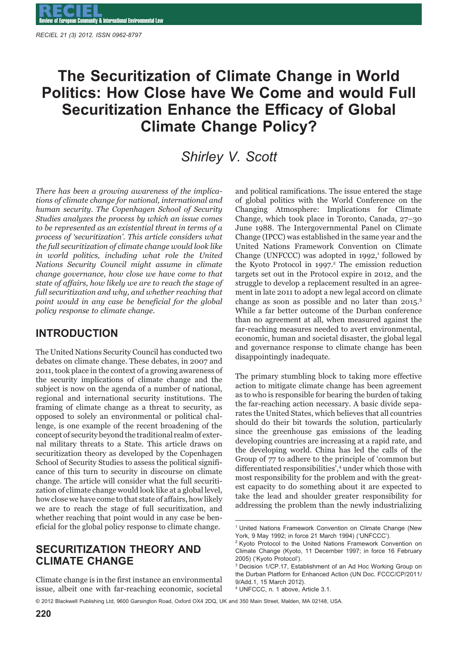*RECIEL 21 (3) 2012. ISSN 0962-8797*

# **The Securitization of Climate Change in World Politics: How Close have We Come and would Full Securitization Enhance the Efficacy of Global Climate Change Policy?**

## *Shirley V. Scott*

*There has been a growing awareness of the implications of climate change for national, international and human security. The Copenhagen School of Security Studies analyzes the process by which an issue comes to be represented as an existential threat in terms of a process of 'securitization'. This article considers what the full securitization of climate change would look like in world politics, including what role the United Nations Security Council might assume in climate change governance, how close we have come to that state of affairs, how likely we are to reach the stage of full securitization and why, and whether reaching that point would in any case be beneficial for the global policy response to climate change.*

### **INTRODUCTION**

The United Nations Security Council has conducted two debates on climate change. These debates, in 2007 and 2011, took place in the context of a growing awareness of the security implications of climate change and the subject is now on the agenda of a number of national, regional and international security institutions. The framing of climate change as a threat to security, as opposed to solely an environmental or political challenge, is one example of the recent broadening of the concept of security beyond the traditional realm of external military threats to a State. This article draws on securitization theory as developed by the Copenhagen School of Security Studies to assess the political significance of this turn to security in discourse on climate change. The article will consider what the full securitization of climate change would look like at a global level, how close we have come to that state of affairs, how likely we are to reach the stage of full securitization, and whether reaching that point would in any case be beneficial for the global policy response to climate change.

**SECURITIZATION THEORY AND CLIMATE CHANGE**

Climate change is in the first instance an environmental issue, albeit one with far-reaching economic, societal and political ramifications. The issue entered the stage of global politics with the World Conference on the Changing Atmosphere: Implications for Climate Change, which took place in Toronto, Canada, 27–30 June 1988. The Intergovernmental Panel on Climate Change (IPCC) was established in the same year and the United Nations Framework Convention on Climate Change (UNFCCC) was adopted in  $1992$ ,<sup>1</sup> followed by the Kyoto Protocol in  $1997<sup>2</sup>$ . The emission reduction targets set out in the Protocol expire in 2012, and the struggle to develop a replacement resulted in an agreement in late 2011 to adopt a new legal accord on climate change as soon as possible and no later than 2015.<sup>3</sup> While a far better outcome of the Durban conference than no agreement at all, when measured against the far-reaching measures needed to avert environmental, economic, human and societal disaster, the global legal and governance response to climate change has been disappointingly inadequate.

The primary stumbling block to taking more effective action to mitigate climate change has been agreement as to who is responsible for bearing the burden of taking the far-reaching action necessary. A basic divide separates the United States, which believes that all countries should do their bit towards the solution, particularly since the greenhouse gas emissions of the leading developing countries are increasing at a rapid rate, and the developing world. China has led the calls of the Group of 77 to adhere to the principle of 'common but differentiated responsibilities',<sup>4</sup> under which those with most responsibility for the problem and with the greatest capacity to do something about it are expected to take the lead and shoulder greater responsibility for addressing the problem than the newly industrializing

© 2012 Blackwell Publishing Ltd, 9600 Garsington Road, Oxford OX4 2DQ, UK and 350 Main Street, Malden, MA 02148, USA.

<sup>&</sup>lt;sup>1</sup> United Nations Framework Convention on Climate Change (New York, 9 May 1992; in force 21 March 1994) ('UNFCCC').

<sup>2</sup> Kyoto Protocol to the United Nations Framework Convention on Climate Change (Kyoto, 11 December 1997; in force 16 February 2005) ('Kyoto Protocol').

<sup>3</sup> Decision 1/CP.17, Establishment of an Ad Hoc Working Group on the Durban Platform for Enhanced Action (UN Doc. FCCC/CP/2011/ 9/Add.1, 15 March 2012).

<sup>4</sup> UNFCCC, n. 1 above, Article 3.1.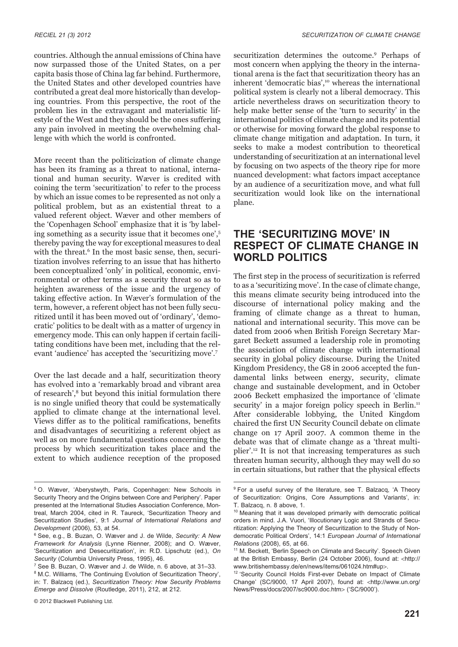countries. Although the annual emissions of China have now surpassed those of the United States, on a per capita basis those of China lag far behind. Furthermore, the United States and other developed countries have contributed a great deal more historically than developing countries. From this perspective, the root of the problem lies in the extravagant and materialistic lifestyle of the West and they should be the ones suffering any pain involved in meeting the overwhelming challenge with which the world is confronted.

More recent than the politicization of climate change has been its framing as a threat to national, international and human security. Wæver is credited with coining the term 'securitization' to refer to the process by which an issue comes to be represented as not only a political problem, but as an existential threat to a valued referent object. Wæver and other members of the 'Copenhagen School' emphasize that it is 'by labeling something as a security issue that it becomes one',5 thereby paving the way for exceptional measures to deal with the threat.<sup>6</sup> In the most basic sense, then, securitization involves referring to an issue that has hitherto been conceptualized 'only' in political, economic, environmental or other terms as a security threat so as to heighten awareness of the issue and the urgency of taking effective action. In Wæver's formulation of the term, however, a referent object has not been fully securitized until it has been moved out of 'ordinary', 'democratic' politics to be dealt with as a matter of urgency in emergency mode. This can only happen if certain facilitating conditions have been met, including that the relevant 'audience' has accepted the 'securitizing move'.7

Over the last decade and a half, securitization theory has evolved into a 'remarkably broad and vibrant area of research',8 but beyond this initial formulation there is no single unified theory that could be systematically applied to climate change at the international level. Views differ as to the political ramifications, benefits and disadvantages of securitizing a referent object as well as on more fundamental questions concerning the process by which securitization takes place and the extent to which audience reception of the proposed

<sup>7</sup> See B. Buzan, O. Wæver and J. de Wilde, n. 6 above, at 31–33.

securitization determines the outcome.<sup>9</sup> Perhaps of most concern when applying the theory in the international arena is the fact that securitization theory has an inherent 'democratic bias',<sup>10</sup> whereas the international political system is clearly not a liberal democracy. This article nevertheless draws on securitization theory to help make better sense of the 'turn to security' in the international politics of climate change and its potential or otherwise for moving forward the global response to climate change mitigation and adaptation. In turn, it seeks to make a modest contribution to theoretical understanding of securitization at an international level by focusing on two aspects of the theory ripe for more nuanced development: what factors impact acceptance by an audience of a securitization move, and what full securitization would look like on the international plane.

#### **THE 'SECURITIZING MOVE' IN RESPECT OF CLIMATE CHANGE IN WORLD POLITICS**

The first step in the process of securitization is referred to as a 'securitizing move'. In the case of climate change, this means climate security being introduced into the discourse of international policy making and the framing of climate change as a threat to human, national and international security. This move can be dated from 2006 when British Foreign Secretary Margaret Beckett assumed a leadership role in promoting the association of climate change with international security in global policy discourse. During the United Kingdom Presidency, the G8 in 2006 accepted the fundamental links between energy, security, climate change and sustainable development, and in October 2006 Beckett emphasized the importance of 'climate security' in a major foreign policy speech in Berlin.<sup>11</sup> After considerable lobbying, the United Kingdom chaired the first UN Security Council debate on climate change on 17 April 2007. A common theme in the debate was that of climate change as a 'threat multiplier'.12 It is not that increasing temperatures as such threaten human security, although they may well do so in certain situations, but rather that the physical effects

<sup>5</sup> O. Wæver, 'Aberystwyth, Paris, Copenhagen: New Schools in Security Theory and the Origins between Core and Periphery'. Paper presented at the International Studies Association Conference, Montreal, March 2004, cited in R. Taureck, 'Securitization Theory and Securitization Studies', 9:1 *Journal of International Relations and Development* (2006), 53, at 54.

<sup>6</sup> See, e.g., B. Buzan, O. Wæver and J. de Wilde, *Security: A New Framework for Analysis* (Lynne Rienner, 2008); and O. Wæver, 'Securitization and Desecuritization', in: R.D. Lipschutz (ed.), *On Security* (Columbia University Press, 1995), 46.

<sup>&</sup>lt;sup>8</sup> M.C. Williams, 'The Continuing Evolution of Securitization Theory', in: T. Balzacq (ed.), *Securitization Theory: How Security Problems Emerge and Dissolve* (Routledge, 2011), 212, at 212.

<sup>&</sup>lt;sup>9</sup> For a useful survey of the literature, see T. Balzacq, 'A Theory of Securitization: Origins, Core Assumptions and Variants', in: T. Balzacq, n. 8 above, 1.

<sup>&</sup>lt;sup>10</sup> Meaning that it was developed primarily with democratic political orders in mind. J.A. Vuori, 'Illocutionary Logic and Strands of Securitization: Applying the Theory of Securitization to the Study of Nondemocratic Political Orders', 14:1 *European Journal of International Relations* (2008), 65, at 66.

<sup>&</sup>lt;sup>11</sup> M. Beckett, 'Berlin Speech on Climate and Security'. Speech Given at the British Embassy, Berlin (24 October 2006), found at: <http:// www.britishembassy.de/en/news/items/061024.htm#up>.

<sup>12</sup> 'Security Council Holds First-ever Debate on Impact of Climate Change' (SC/9000, 17 April 2007), found at: <http://www.un.org/ News/Press/docs/2007/sc9000.doc.htm> ('SC/9000').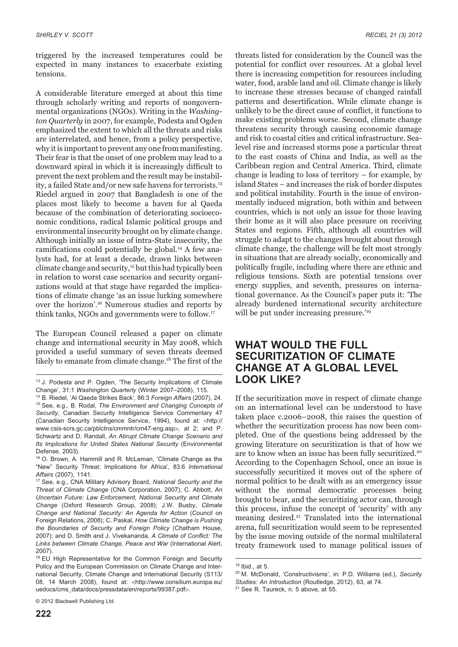triggered by the increased temperatures could be expected in many instances to exacerbate existing tensions.

A considerable literature emerged at about this time through scholarly writing and reports of nongovernmental organizations (NGOs). Writing in the *Washington Quarterly* in 2007, for example, Podesta and Ogden emphasized the extent to which all the threats and risks are interrelated, and hence, from a policy perspective, why it is important to prevent any one from manifesting. Their fear is that the onset of one problem may lead to a downward spiral in which it is increasingly difficult to prevent the next problem and the result may be instability, a failed State and/or new safe havens for terrorists.<sup>13</sup> Riedel argued in 2007 that Bangladesh is one of the places most likely to become a haven for al Qaeda because of the combination of deteriorating socioeconomic conditions, radical Islamic political groups and environmental insecurity brought on by climate change. Although initially an issue of intra-State insecurity, the ramifications could potentially be global.<sup>14</sup> A few analysts had, for at least a decade, drawn links between climate change and security,<sup>15</sup> but this had typically been in relation to worst case scenarios and security organizations would at that stage have regarded the implications of climate change 'as an issue lurking somewhere over the horizon'.16 Numerous studies and reports by think tanks, NGOs and governments were to follow.17

The European Council released a paper on climate change and international security in May 2008, which provided a useful summary of seven threats deemed likely to emanate from climate change.<sup>18</sup> The first of the threats listed for consideration by the Council was the potential for conflict over resources. At a global level there is increasing competition for resources including water, food, arable land and oil. Climate change is likely to increase these stresses because of changed rainfall patterns and desertification. While climate change is unlikely to be the direct cause of conflict, it functions to make existing problems worse. Second, climate change threatens security through causing economic damage and risk to coastal cities and critical infrastructure. Sealevel rise and increased storms pose a particular threat to the east coasts of China and India, as well as the Caribbean region and Central America. Third, climate change is leading to loss of territory – for example, by island States – and increases the risk of border disputes and political instability. Fourth is the issue of environmentally induced migration, both within and between countries, which is not only an issue for those leaving their home as it will also place pressure on receiving States and regions. Fifth, although all countries will struggle to adapt to the changes brought about through climate change, the challenge will be felt most strongly in situations that are already socially, economically and politically fragile, including where there are ethnic and religious tensions. Sixth are potential tensions over energy supplies, and seventh, pressures on international governance. As the Council's paper puts it: 'The already burdened international security architecture will be put under increasing pressure."<sup>19</sup>

#### **WHAT WOULD THE FULL SECURITIZATION OF CLIMATE CHANGE AT A GLOBAL LEVEL LOOK LIKE?**

If the securitization move in respect of climate change on an international level can be understood to have taken place c.2006–2008, this raises the question of whether the securitization process has now been completed. One of the questions being addressed by the growing literature on securitization is that of how we are to know when an issue has been fully securitized.20 According to the Copenhagen School, once an issue is successfully securitized it moves out of the sphere of normal politics to be dealt with as an emergency issue without the normal democratic processes being brought to bear, and the securitizing actor can, through this process, infuse the concept of 'security' with any meaning desired.<sup>21</sup> Translated into the international arena, full securitization would seem to be represented by the issue moving outside of the normal multilateral treaty framework used to manage political issues of

<sup>&</sup>lt;sup>13</sup> J. Podesta and P. Ogden, 'The Security Implications of Climate Change', 31:1 *Washington Quarterly* (Winter 2007–2008), 115.

<sup>14</sup> B. Riedel, 'Al Qaeda Strikes Back', 86:3 *Foreign Affairs* (2007), 24. <sup>15</sup> See, e.g., B. Rodal, *The Environment and Changing Concepts of Security*, Canadian Security Intelligence Service Commentary 47 (Canadian Security Intelligence Service, 1994), found at: <http:// www.csis-scrs.gc.ca/pblctns/cmmntr/cm47-eng.asp>, at 2; and P. Schwartz and D. Randall, *An Abrupt Climate Change Scenario and Its Implications for United States National Security* (Environmental Defense, 2003).

<sup>16</sup> O. Brown, A. Hammill and R. McLeman, 'Climate Change as the "New" Security Threat: Implications for Africa', 83:6 *International Affairs* (2007), 1141.

<sup>17</sup> See, e.g., CNA Military Advisory Board, *National Security and the Threat of Climate Change* (CNA Corporation, 2007); C. Abbott, *An Uncertain Future: Law Enforcement, National Security and Climate Change* (Oxford Research Group, 2008); J.W. Busby, *Climate Change and National Security: An Agenda for Action* (Council on Foreign Relations, 2008); C. Paskal, *How Climate Change is Pushing the Boundaries of Security and Foreign Policy* (Chatham House, 2007); and D. Smith and J. Vivekananda, *A Climate of Conflict: The Links between Climate Change, Peace and War* (International Alert, 2007).

<sup>&</sup>lt;sup>18</sup> EU High Representative for the Common Foreign and Security Policy and the European Commission on Climate Change and International Security, Climate Change and International Security (S113/ 08, 14 March 2008), found at: <http://www.consilium.europa.eu/ uedocs/cms\_data/docs/pressdata/en/reports/99387.pdf>.

<sup>© 2012</sup> Blackwell Publishing Ltd.

<sup>19</sup> Ibid., at 5.

<sup>20</sup> M. McDonald, 'Constructivisms', in: P.D. Williams (ed.), *Security Studies: An Introduction* (Routledge, 2012), 63, at 74.

<sup>&</sup>lt;sup>21</sup> See R. Taureck, n. 5 above, at 55.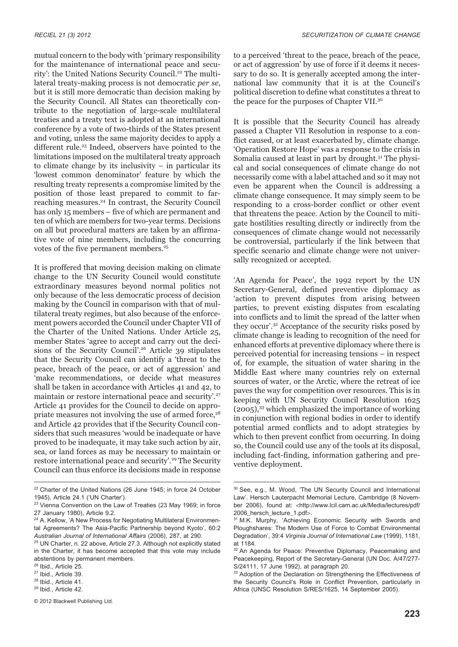mutual concern to the body with 'primary responsibility for the maintenance of international peace and security': the United Nations Security Council.<sup>22</sup> The multilateral treaty-making process is not democratic *per se*, but it is still more democratic than decision making by the Security Council. All States can theoretically contribute to the negotiation of large-scale multilateral treaties and a treaty text is adopted at an international conference by a vote of two-thirds of the States present and voting, unless the same majority decides to apply a different rule.<sup>23</sup> Indeed, observers have pointed to the limitations imposed on the multilateral treaty approach to climate change by its inclusivity  $-$  in particular its 'lowest common denominator' feature by which the resulting treaty represents a compromise limited by the position of those least prepared to commit to farreaching measures.24 In contrast, the Security Council has only 15 members – five of which are permanent and ten of which are members for two-year terms. Decisions on all but procedural matters are taken by an affirmative vote of nine members, including the concurring votes of the five permanent members.<sup>25</sup>

It is proffered that moving decision making on climate change to the UN Security Council would constitute extraordinary measures beyond normal politics not only because of the less democratic process of decision making by the Council in comparison with that of multilateral treaty regimes, but also because of the enforcement powers accorded the Council under Chapter VII of the Charter of the United Nations. Under Article 25, member States 'agree to accept and carry out the decisions of the Security Council'.<sup>26</sup> Article 39 stipulates that the Security Council can identify a 'threat to the peace, breach of the peace, or act of aggression' and 'make recommendations, or decide what measures shall be taken in accordance with Articles 41 and 42, to maintain or restore international peace and security'.<sup>27</sup> Article 41 provides for the Council to decide on appropriate measures not involving the use of armed force,<sup>28</sup> and Article 42 provides that if the Security Council considers that such measures 'would be inadequate or have proved to be inadequate, it may take such action by air, sea, or land forces as may be necessary to maintain or restore international peace and security'.29 The Security Council can thus enforce its decisions made in response

to a perceived 'threat to the peace, breach of the peace, or act of aggression' by use of force if it deems it necessary to do so. It is generally accepted among the international law community that it is at the Council's political discretion to define what constitutes a threat to the peace for the purposes of Chapter VII.30

It is possible that the Security Council has already passed a Chapter VII Resolution in response to a conflict caused, or at least exacerbated by, climate change. 'Operation Restore Hope' was a response to the crisis in Somalia caused at least in part by drought.31 The physical and social consequences of climate change do not necessarily come with a label attached and so it may not even be apparent when the Council is addressing a climate change consequence. It may simply seem to be responding to a cross-border conflict or other event that threatens the peace. Action by the Council to mitigate hostilities resulting directly or indirectly from the consequences of climate change would not necessarily be controversial, particularly if the link between that specific scenario and climate change were not universally recognized or accepted.

'An Agenda for Peace', the 1992 report by the UN Secretary-General, defined preventive diplomacy as 'action to prevent disputes from arising between parties, to prevent existing disputes from escalating into conflicts and to limit the spread of the latter when they occur'.32 Acceptance of the security risks posed by climate change is leading to recognition of the need for enhanced efforts at preventive diplomacy where there is perceived potential for increasing tensions – in respect of, for example, the situation of water sharing in the Middle East where many countries rely on external sources of water, or the Arctic, where the retreat of ice paves the way for competition over resources. This is in keeping with UN Security Council Resolution 1625  $(2005)$ ,<sup>33</sup> which emphasized the importance of working in conjunction with regional bodies in order to identify potential armed conflicts and to adopt strategies by which to then prevent conflict from occurring. In doing so, the Council could use any of the tools at its disposal, including fact-finding, information gathering and preventive deployment.

<sup>&</sup>lt;sup>22</sup> Charter of the United Nations (26 June 1945; in force 24 October 1945), Article 24.1 ('UN Charter').

<sup>&</sup>lt;sup>23</sup> Vienna Convention on the Law of Treaties (23 May 1969; in force 27 January 1980), Article 9.2.

<sup>&</sup>lt;sup>24</sup> A. Kellow, 'A New Process for Negotiating Multilateral Environmental Agreements? The Asia-Pacific Partnership beyond Kyoto', 60:2 *Australian Journal of International Affairs* (2006), 287, at 290.

<sup>25</sup> UN Charter, n. 22 above, Article 27.3. Although not explicitly stated in the Charter, it has become accepted that this vote may include abstentions by permanent members.

<sup>26</sup> Ibid., Article 25.

<sup>27</sup> Ibid., Article 39.

<sup>28</sup> Ibid., Article 41. <sup>29</sup> Ibid., Article 42.

<sup>© 2012</sup> Blackwell Publishing Ltd.

<sup>30</sup> See, e.g., M. Wood, 'The UN Security Council and International Law'. Hersch Lauterpacht Memorial Lecture, Cambridge (8 November 2006), found at: <http://www.lcil.cam.ac.uk/Media/lectures/pdf/ 2006\_hersch\_lecture\_1.pdf>.

<sup>&</sup>lt;sup>31</sup> M.K. Murphy, 'Achieving Economic Security with Swords and Ploughshares: The Modern Use of Force to Combat Environmental Degradation', 39:4 *Virginia Journal of International Law* (1999), 1181, at 1184.

<sup>&</sup>lt;sup>32</sup> An Agenda for Peace: Preventive Diplomacy, Peacemaking and Peacekeeping, Report of the Secretary-General (UN Doc. A/47/277- S/24111, 17 June 1992), at paragraph 20.

<sup>&</sup>lt;sup>33</sup> Adoption of the Declaration on Strengthening the Effectiveness of the Security Council's Role in Conflict Prevention, particularly in Africa (UNSC Resolution S/RES/1625, 14 September 2005).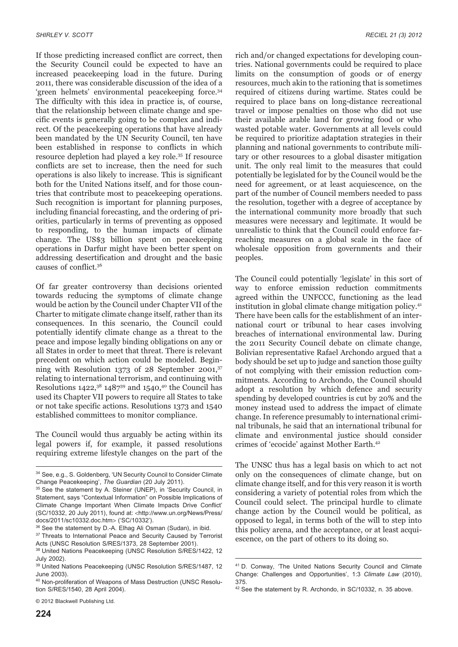If those predicting increased conflict are correct, then the Security Council could be expected to have an increased peacekeeping load in the future. During 2011, there was considerable discussion of the idea of a 'green helmets' environmental peacekeeping force.34 The difficulty with this idea in practice is, of course, that the relationship between climate change and specific events is generally going to be complex and indirect. Of the peacekeeping operations that have already been mandated by the UN Security Council, ten have been established in response to conflicts in which resource depletion had played a key role.35 If resource conflicts are set to increase, then the need for such operations is also likely to increase. This is significant both for the United Nations itself, and for those countries that contribute most to peacekeeping operations. Such recognition is important for planning purposes, including financial forecasting, and the ordering of priorities, particularly in terms of preventing as opposed to responding, to the human impacts of climate change. The US\$3 billion spent on peacekeeping operations in Darfur might have been better spent on addressing desertification and drought and the basic causes of conflict.36

Of far greater controversy than decisions oriented towards reducing the symptoms of climate change would be action by the Council under Chapter VII of the Charter to mitigate climate change itself, rather than its consequences. In this scenario, the Council could potentially identify climate change as a threat to the peace and impose legally binding obligations on any or all States in order to meet that threat. There is relevant precedent on which action could be modeled. Beginning with Resolution 1373 of 28 September 2001,<sup>37</sup> relating to international terrorism, and continuing with Resolutions 1422,<sup>38</sup> 1487<sup>39</sup> and 1540,<sup>40</sup> the Council has used its Chapter VII powers to require all States to take or not take specific actions. Resolutions 1373 and 1540 established committees to monitor compliance.

The Council would thus arguably be acting within its legal powers if, for example, it passed resolutions requiring extreme lifestyle changes on the part of the rich and/or changed expectations for developing countries. National governments could be required to place limits on the consumption of goods or of energy resources, much akin to the rationing that is sometimes required of citizens during wartime. States could be required to place bans on long-distance recreational travel or impose penalties on those who did not use their available arable land for growing food or who wasted potable water. Governments at all levels could be required to prioritize adaptation strategies in their planning and national governments to contribute military or other resources to a global disaster mitigation unit. The only real limit to the measures that could potentially be legislated for by the Council would be the need for agreement, or at least acquiescence, on the part of the number of Council members needed to pass the resolution, together with a degree of acceptance by the international community more broadly that such measures were necessary and legitimate. It would be unrealistic to think that the Council could enforce farreaching measures on a global scale in the face of wholesale opposition from governments and their peoples.

The Council could potentially 'legislate' in this sort of way to enforce emission reduction commitments agreed within the UNFCCC, functioning as the lead institution in global climate change mitigation policy.<sup>41</sup> There have been calls for the establishment of an international court or tribunal to hear cases involving breaches of international environmental law. During the 2011 Security Council debate on climate change, Bolivian representative Rafael Archondo argued that a body should be set up to judge and sanction those guilty of not complying with their emission reduction commitments. According to Archondo, the Council should adopt a resolution by which defence and security spending by developed countries is cut by 20% and the money instead used to address the impact of climate change. In reference presumably to international criminal tribunals, he said that an international tribunal for climate and environmental justice should consider crimes of 'ecocide' against Mother Earth.42

The UNSC thus has a legal basis on which to act not only on the consequences of climate change, but on climate change itself, and for this very reason it is worth considering a variety of potential roles from which the Council could select. The principal hurdle to climate change action by the Council would be political, as opposed to legal, in terms both of the will to step into this policy arena, and the acceptance, or at least acquiescence, on the part of others to its doing so.

<sup>34</sup> See, e.g., S. Goldenberg, 'UN Security Council to Consider Climate Change Peacekeeping', *The Guardian* (20 July 2011).

<sup>&</sup>lt;sup>35</sup> See the statement by A. Steiner (UNEP), in 'Security Council, in Statement, says "Contextual Information" on Possible Implications of Climate Change Important When Climate Impacts Drive Conflict' (SC/10332, 20 July 2011), found at: <http://www.un.org/News/Press/ docs/2011/sc10332.doc.htm> ('SC/10332').

<sup>36</sup> See the statement by D.-A. Elhag Ali Osman (Sudan), in ibid.

<sup>&</sup>lt;sup>37</sup> Threats to International Peace and Security Caused by Terrorist Acts (UNSC Resolution S/RES/1373, 28 September 2001).

<sup>&</sup>lt;sup>38</sup> United Nations Peacekeeping (UNSC Resolution S/RES/1422, 12 July 2002).

<sup>&</sup>lt;sup>39</sup> United Nations Peacekeeping (UNSC Resolution S/RES/1487, 12 June 2003).

<sup>40</sup> Non-proliferation of Weapons of Mass Destruction (UNSC Resolution S/RES/1540, 28 April 2004).

<sup>© 2012</sup> Blackwell Publishing Ltd.

<sup>41</sup> D. Conway, 'The United Nations Security Council and Climate Change: Challenges and Opportunities', 1:3 *Climate Law* (2010), 375.

<sup>&</sup>lt;sup>42</sup> See the statement by R. Archondo, in SC/10332, n. 35 above.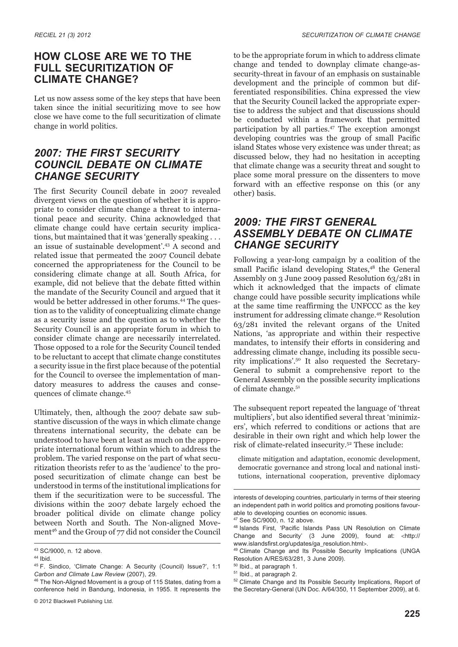#### **HOW CLOSE ARE WE TO THE FULL SECURITIZATION OF CLIMATE CHANGE?**

Let us now assess some of the key steps that have been taken since the initial securitizing move to see how close we have come to the full securitization of climate change in world politics.

#### *2007: THE FIRST SECURITY COUNCIL DEBATE ON CLIMATE CHANGE SECURITY*

The first Security Council debate in 2007 revealed divergent views on the question of whether it is appropriate to consider climate change a threat to international peace and security. China acknowledged that climate change could have certain security implications, but maintained that it was 'generally speaking . . . an issue of sustainable development'.43 A second and related issue that permeated the 2007 Council debate concerned the appropriateness for the Council to be considering climate change at all. South Africa, for example, did not believe that the debate fitted within the mandate of the Security Council and argued that it would be better addressed in other forums.<sup>44</sup> The question as to the validity of conceptualizing climate change as a security issue and the question as to whether the Security Council is an appropriate forum in which to consider climate change are necessarily interrelated. Those opposed to a role for the Security Council tended to be reluctant to accept that climate change constitutes a security issue in the first place because of the potential for the Council to oversee the implementation of mandatory measures to address the causes and consequences of climate change.45

Ultimately, then, although the 2007 debate saw substantive discussion of the ways in which climate change threatens international security, the debate can be understood to have been at least as much on the appropriate international forum within which to address the problem. The varied response on the part of what securitization theorists refer to as the 'audience' to the proposed securitization of climate change can best be understood in terms of the institutional implications for them if the securitization were to be successful. The divisions within the 2007 debate largely echoed the broader political divide on climate change policy between North and South. The Non-aligned Movement46 and the Group of 77 did not consider the Council to be the appropriate forum in which to address climate change and tended to downplay climate change-assecurity-threat in favour of an emphasis on sustainable development and the principle of common but differentiated responsibilities. China expressed the view that the Security Council lacked the appropriate expertise to address the subject and that discussions should be conducted within a framework that permitted participation by all parties.47 The exception amongst developing countries was the group of small Pacific island States whose very existence was under threat; as discussed below, they had no hesitation in accepting that climate change was a security threat and sought to place some moral pressure on the dissenters to move forward with an effective response on this (or any other) basis.

#### *2009: THE FIRST GENERAL ASSEMBLY DEBATE ON CLIMATE CHANGE SECURITY*

Following a year-long campaign by a coalition of the small Pacific island developing States,<sup>48</sup> the General Assembly on 3 June 2009 passed Resolution 63/281 in which it acknowledged that the impacts of climate change could have possible security implications while at the same time reaffirming the UNFCCC as the key instrument for addressing climate change.<sup>49</sup> Resolution 63/281 invited the relevant organs of the United Nations, 'as appropriate and within their respective mandates, to intensify their efforts in considering and addressing climate change, including its possible security implications'.50 It also requested the Secretary-General to submit a comprehensive report to the General Assembly on the possible security implications of climate change.51

The subsequent report repeated the language of 'threat multipliers', but also identified several threat 'minimizers', which referred to conditions or actions that are desirable in their own right and which help lower the risk of climate-related insecurity.52 These include:

climate mitigation and adaptation, economic development, democratic governance and strong local and national institutions, international cooperation, preventive diplomacy

<sup>43</sup> SC/9000, n. 12 above.

 $44$  Ibid.

<sup>45</sup> F. Sindico, 'Climate Change: A Security (Council) Issue?', 1:1 *Carbon and Climate Law Review* (2007), 29.

<sup>&</sup>lt;sup>46</sup> The Non-Aligned Movement is a group of 115 States, dating from a conference held in Bandung, Indonesia, in 1955. It represents the

interests of developing countries, particularly in terms of their steering an independent path in world politics and promoting positions favourable to developing counties on economic issues.

<sup>47</sup> See SC/9000, n. 12 above.

<sup>48</sup> Islands First, 'Pacific Islands Pass UN Resolution on Climate Change and Security' (3 June 2009), found at: <http:// www.islandsfirst.org/updates/ga\_resolution.html>.

<sup>49</sup> Climate Change and Its Possible Security Implications (UNGA Resolution A/RES/63/281, 3 June 2009).

<sup>50</sup> Ibid., at paragraph 1.

<sup>51</sup> Ibid., at paragraph 2.

<sup>&</sup>lt;sup>52</sup> Climate Change and Its Possible Security Implications, Report of the Secretary-General (UN Doc. A/64/350, 11 September 2009), at 6.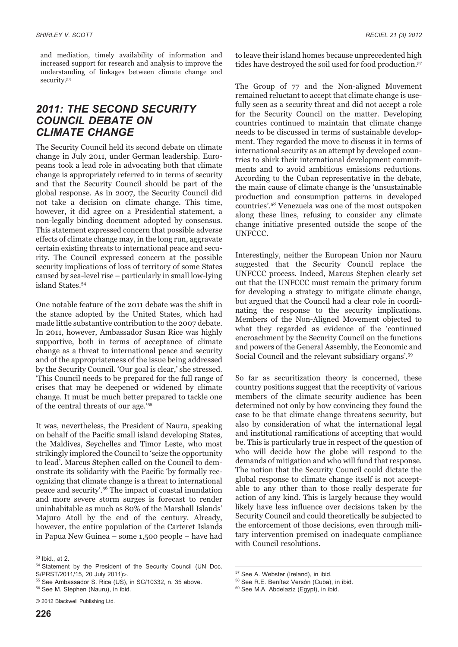and mediation, timely availability of information and increased support for research and analysis to improve the understanding of linkages between climate change and security.<sup>53</sup>

#### *2011: THE SECOND SECURITY COUNCIL DEBATE ON CLIMATE CHANGE*

The Security Council held its second debate on climate change in July 2011, under German leadership. Europeans took a lead role in advocating both that climate change is appropriately referred to in terms of security and that the Security Council should be part of the global response. As in 2007, the Security Council did not take a decision on climate change. This time, however, it did agree on a Presidential statement, a non-legally binding document adopted by consensus. This statement expressed concern that possible adverse effects of climate change may, in the long run, aggravate certain existing threats to international peace and security. The Council expressed concern at the possible security implications of loss of territory of some States caused by sea-level rise – particularly in small low-lying island States.54

One notable feature of the 2011 debate was the shift in the stance adopted by the United States, which had made little substantive contribution to the 2007 debate. In 2011, however, Ambassador Susan Rice was highly supportive, both in terms of acceptance of climate change as a threat to international peace and security and of the appropriateness of the issue being addressed by the Security Council. 'Our goal is clear,' she stressed. 'This Council needs to be prepared for the full range of crises that may be deepened or widened by climate change. It must be much better prepared to tackle one of the central threats of our age.'55

It was, nevertheless, the President of Nauru, speaking on behalf of the Pacific small island developing States, the Maldives, Seychelles and Timor Leste, who most strikingly implored the Council to 'seize the opportunity to lead'. Marcus Stephen called on the Council to demonstrate its solidarity with the Pacific 'by formally recognizing that climate change is a threat to international peace and security'.56 The impact of coastal inundation and more severe storm surges is forecast to render uninhabitable as much as 80% of the Marshall Islands' Majuro Atoll by the end of the century. Already, however, the entire population of the Carteret Islands in Papua New Guinea – some 1,500 people – have had to leave their island homes because unprecedented high tides have destroyed the soil used for food production.<sup>57</sup>

The Group of 77 and the Non-aligned Movement remained reluctant to accept that climate change is usefully seen as a security threat and did not accept a role for the Security Council on the matter. Developing countries continued to maintain that climate change needs to be discussed in terms of sustainable development. They regarded the move to discuss it in terms of international security as an attempt by developed countries to shirk their international development commitments and to avoid ambitious emissions reductions. According to the Cuban representative in the debate, the main cause of climate change is the 'unsustainable production and consumption patterns in developed countries'.58 Venezuela was one of the most outspoken along these lines, refusing to consider any climate change initiative presented outside the scope of the UNFCCC.

Interestingly, neither the European Union nor Nauru suggested that the Security Council replace the UNFCCC process. Indeed, Marcus Stephen clearly set out that the UNFCCC must remain the primary forum for developing a strategy to mitigate climate change, but argued that the Council had a clear role in coordinating the response to the security implications. Members of the Non-Aligned Movement objected to what they regarded as evidence of the 'continued encroachment by the Security Council on the functions and powers of the General Assembly, the Economic and Social Council and the relevant subsidiary organs'.59

So far as securitization theory is concerned, these country positions suggest that the receptivity of various members of the climate security audience has been determined not only by how convincing they found the case to be that climate change threatens security, but also by consideration of what the international legal and institutional ramifications of accepting that would be. This is particularly true in respect of the question of who will decide how the globe will respond to the demands of mitigation and who will fund that response. The notion that the Security Council could dictate the global response to climate change itself is not acceptable to any other than to those really desperate for action of any kind. This is largely because they would likely have less influence over decisions taken by the Security Council and could theoretically be subjected to the enforcement of those decisions, even through military intervention premised on inadequate compliance with Council resolutions.

<sup>53</sup> Ibid., at 2.

<sup>&</sup>lt;sup>54</sup> Statement by the President of the Security Council (UN Doc. S/PRST/2011/15, 20 July 2011)>.

<sup>55</sup> See Ambassador S. Rice (US), in SC/10332, n. 35 above.

<sup>56</sup> See M. Stephen (Nauru), in ibid.

<sup>© 2012</sup> Blackwell Publishing Ltd.

<sup>57</sup> See A. Webster (Ireland), in ibid.

<sup>58</sup> See R.E. Benítez Versón (Cuba), in ibid.

<sup>59</sup> See M.A. Abdelaziz (Egypt), in ibid.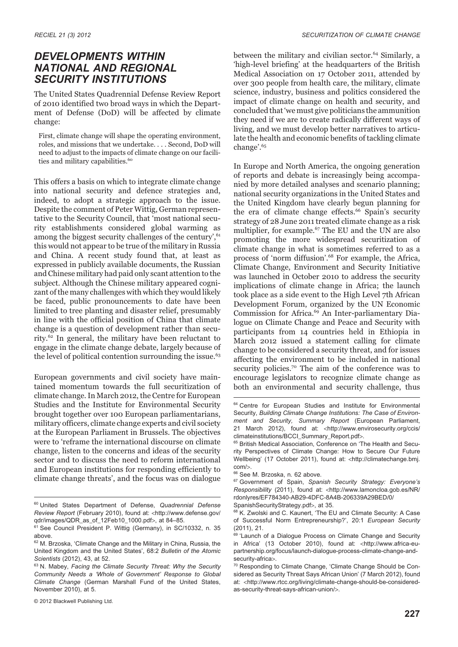#### *DEVELOPMENTS WITHIN NATIONAL AND REGIONAL SECURITY INSTITUTIONS*

The United States Quadrennial Defense Review Report of 2010 identified two broad ways in which the Department of Defense (DoD) will be affected by climate change:

First, climate change will shape the operating environment, roles, and missions that we undertake. . . . Second, DoD will need to adjust to the impacts of climate change on our facilities and military capabilities.<sup>60</sup>

This offers a basis on which to integrate climate change into national security and defence strategies and, indeed, to adopt a strategic approach to the issue. Despite the comment of Peter Wittig, German representative to the Security Council, that 'most national security establishments considered global warming as among the biggest security challenges of the century',  $61$ this would not appear to be true of the military in Russia and China. A recent study found that, at least as expressed in publicly available documents, the Russian and Chinese military had paid only scant attention to the subject. Although the Chinese military appeared cognizant of the many challenges with which they would likely be faced, public pronouncements to date have been limited to tree planting and disaster relief, presumably in line with the official position of China that climate change is a question of development rather than security.62 In general, the military have been reluctant to engage in the climate change debate, largely because of the level of political contention surrounding the issue.<sup>63</sup>

European governments and civil society have maintained momentum towards the full securitization of climate change. In March 2012, the Centre for European Studies and the Institute for Environmental Security brought together over 100 European parliamentarians, military officers, climate change experts and civil society at the European Parliament in Brussels. The objectives were to 'reframe the international discourse on climate change, listen to the concerns and ideas of the security sector and to discuss the need to reform international and European institutions for responding efficiently to climate change threats', and the focus was on dialogue between the military and civilian sector.<sup>64</sup> Similarly, a 'high-level briefing' at the headquarters of the British Medical Association on 17 October 2011, attended by over 300 people from health care, the military, climate science, industry, business and politics considered the impact of climate change on health and security, and concluded that 'we must give politicians the ammunition they need if we are to create radically different ways of living, and we must develop better narratives to articulate the health and economic benefits of tackling climate change'.65

In Europe and North America, the ongoing generation of reports and debate is increasingly being accompanied by more detailed analyses and scenario planning; national security organizations in the United States and the United Kingdom have clearly begun planning for the era of climate change effects.<sup>66</sup> Spain's security strategy of 28 June 2011 treated climate change as a risk multiplier, for example.<sup>67</sup> The EU and the UN are also promoting the more widespread securitization of climate change in what is sometimes referred to as a process of 'norm diffusion'.68 For example, the Africa, Climate Change, Environment and Security Initiative was launched in October 2010 to address the security implications of climate change in Africa; the launch took place as a side event to the High Level 7th African Development Forum, organized by the UN Economic Commission for Africa.<sup>69</sup> An Inter-parliamentary Dialogue on Climate Change and Peace and Security with participants from 14 countries held in Ethiopia in March 2012 issued a statement calling for climate change to be considered a security threat, and for issues affecting the environment to be included in national security policies.<sup>70</sup> The aim of the conference was to encourage legislators to recognize climate change as both an environmental and security challenge, thus

<sup>60</sup> United States Department of Defense, *Quadrennial Defense Review Report* (February 2010), found at: <http://www.defense.gov/ qdr/images/QDR\_as\_of\_12Feb10\_1000.pdf>, at 84–85.

<sup>61</sup> See Council President P. Wittig (Germany), in SC/10332, n. 35 above.

<sup>62</sup> M. Brzoska, 'Climate Change and the Military in China, Russia, the United Kingdom and the United States', 68:2 *Bulletin of the Atomic Scientists* (2012), 43, at 52.

<sup>63</sup> N. Mabey, *Facing the Climate Security Threat: Why the Security Community Needs a 'Whole of Government' Response to Global Climate Change* (German Marshall Fund of the United States, November 2010), at 5.

<sup>&</sup>lt;sup>64</sup> Centre for European Studies and Institute for Environmental Security, *Building Climate Change Institutions: The Case of Environment and Security, Summary Report* (European Parliament, 21 March 2012), found at: <http://www.envirosecurity.org/ccis/ climateinstitutions/BCCI\_Summary\_Report.pdf>.

<sup>&</sup>lt;sup>65</sup> British Medical Association, Conference on 'The Health and Security Perspectives of Climate Change: How to Secure Our Future Wellbeing' (17 October 2011), found at: <http://climatechange.bmj. com/>.

<sup>&</sup>lt;sup>66</sup> See M. Brzoska, n. 62 above.

<sup>67</sup> Government of Spain, *Spanish Security Strategy: Everyone's Responsibility* (2011), found at: <http://www.lamoncloa.gob.es/NR/ rdonlyres/EF784340-AB29-4DFC-8A4B-206339A29BED/0/ SpanishSecurityStrategy.pdf>, at 35.

<sup>68</sup> K. Zwolski and C. Kaunert, 'The EU and Climate Security: A Case of Successful Norm Entrepreneurship?', 20:1 *European Security* (2011), 21.

<sup>&</sup>lt;sup>69</sup> 'Launch of a Dialogue Process on Climate Change and Security in Africa' (13 October 2010), found at: <http://www.africa-eupartnership.org/focus/launch-dialogue-process-climate-change-andsecurity-africa>.

<sup>&</sup>lt;sup>70</sup> Responding to Climate Change, 'Climate Change Should be Considered as Security Threat Says African Union' (7 March 2012), found at: <http://www.rtcc.org/living/climate-change-should-be-consideredas-security-threat-says-african-union/>.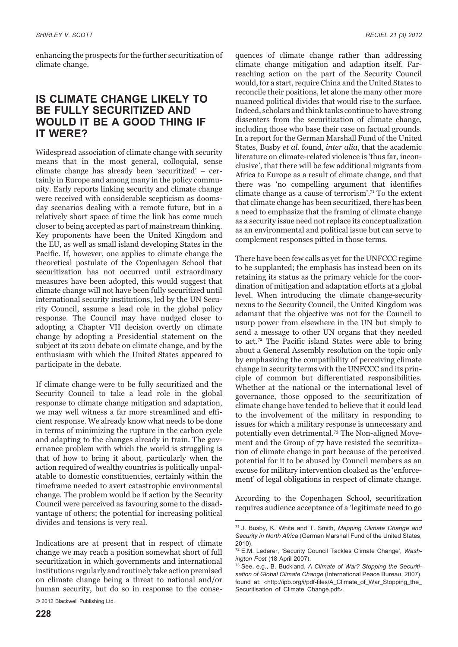enhancing the prospects for the further securitization of climate change.

#### **IS CLIMATE CHANGE LIKELY TO BE FULLY SECURITIZED AND WOULD IT BE A GOOD THING IF IT WERE?**

Widespread association of climate change with security means that in the most general, colloquial, sense climate change has already been 'securitized' – certainly in Europe and among many in the policy community. Early reports linking security and climate change were received with considerable scepticism as doomsday scenarios dealing with a remote future, but in a relatively short space of time the link has come much closer to being accepted as part of mainstream thinking. Key proponents have been the United Kingdom and the EU, as well as small island developing States in the Pacific. If, however, one applies to climate change the theoretical postulate of the Copenhagen School that securitization has not occurred until extraordinary measures have been adopted, this would suggest that climate change will not have been fully securitized until international security institutions, led by the UN Security Council, assume a lead role in the global policy response. The Council may have nudged closer to adopting a Chapter VII decision overtly on climate change by adopting a Presidential statement on the subject at its 2011 debate on climate change, and by the enthusiasm with which the United States appeared to participate in the debate.

If climate change were to be fully securitized and the Security Council to take a lead role in the global response to climate change mitigation and adaptation, we may well witness a far more streamlined and efficient response. We already know what needs to be done in terms of minimizing the rupture in the carbon cycle and adapting to the changes already in train. The governance problem with which the world is struggling is that of how to bring it about, particularly when the action required of wealthy countries is politically unpalatable to domestic constituencies, certainly within the timeframe needed to avert catastrophic environmental change. The problem would be if action by the Security Council were perceived as favouring some to the disadvantage of others; the potential for increasing political divides and tensions is very real.

Indications are at present that in respect of climate change we may reach a position somewhat short of full securitization in which governments and international institutions regularly and routinely take action premised on climate change being a threat to national and/or human security, but do so in response to the conse-

would, for a start, require China and the United States to reconcile their positions, let alone the many other more nuanced political divides that would rise to the surface. Indeed, scholars and think tanks continue to have strong dissenters from the securitization of climate change, including those who base their case on factual grounds. In a report for the German Marshall Fund of the United States, Busby *et al*. found, *inter alia*, that the academic literature on climate-related violence is 'thus far, inconclusive', that there will be few additional migrants from Africa to Europe as a result of climate change, and that there was 'no compelling argument that identifies climate change as a cause of terrorism'.71 To the extent that climate change has been securitized, there has been a need to emphasize that the framing of climate change as a security issue need not replace its conceptualization as an environmental and political issue but can serve to complement responses pitted in those terms. There have been few calls as yet for the UNFCCC regime to be supplanted; the emphasis has instead been on its retaining its status as the primary vehicle for the coor-

quences of climate change rather than addressing climate change mitigation and adaption itself. Farreaching action on the part of the Security Council

dination of mitigation and adaptation efforts at a global level. When introducing the climate change-security nexus to the Security Council, the United Kingdom was adamant that the objective was not for the Council to usurp power from elsewhere in the UN but simply to send a message to other UN organs that they needed to act.72 The Pacific island States were able to bring about a General Assembly resolution on the topic only by emphasizing the compatibility of perceiving climate change in security terms with the UNFCCC and its principle of common but differentiated responsibilities. Whether at the national or the international level of governance, those opposed to the securitization of climate change have tended to believe that it could lead to the involvement of the military in responding to issues for which a military response is unnecessary and potentially even detrimental.73 The Non-aligned Movement and the Group of 77 have resisted the securitization of climate change in part because of the perceived potential for it to be abused by Council members as an excuse for military intervention cloaked as the 'enforcement' of legal obligations in respect of climate change.

According to the Copenhagen School, securitization requires audience acceptance of a 'legitimate need to go

<sup>© 2012</sup> Blackwell Publishing Ltd.

<sup>71</sup> J. Busby, K. White and T. Smith, *Mapping Climate Change and Security in North Africa* (German Marshall Fund of the United States, 2010).

<sup>72</sup> E.M. Lederer, 'Security Council Tackles Climate Change', *Washington Post* (18 April 2007).

<sup>73</sup> See, e.g., B. Buckland, *A Climate of War? Stopping the Securitisation of Global Climate Change* (International Peace Bureau, 2007), found at: <http://ipb.org/i/pdf-files/A\_Climate\_of\_War\_Stopping\_the\_ Securitisation\_of\_Climate\_Change.pdf>.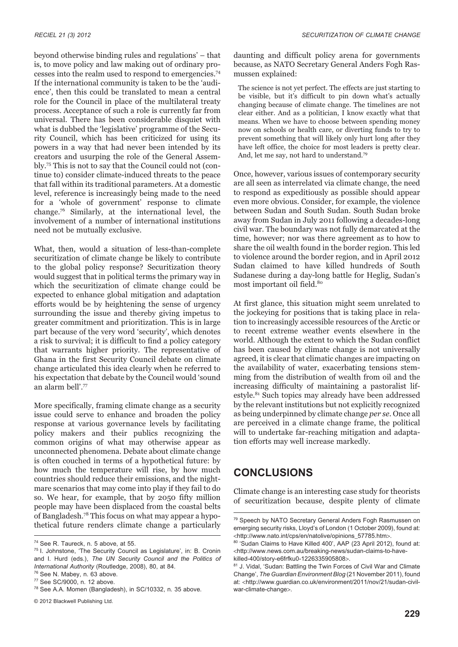beyond otherwise binding rules and regulations' – that is, to move policy and law making out of ordinary processes into the realm used to respond to emergencies.74 If the international community is taken to be the 'audience', then this could be translated to mean a central role for the Council in place of the multilateral treaty process. Acceptance of such a role is currently far from universal. There has been considerable disquiet with what is dubbed the 'legislative' programme of the Security Council, which has been criticized for using its powers in a way that had never been intended by its creators and usurping the role of the General Assembly.75 This is not to say that the Council could not (continue to) consider climate-induced threats to the peace that fall within its traditional parameters. At a domestic level, reference is increasingly being made to the need for a 'whole of government' response to climate change.76 Similarly, at the international level, the involvement of a number of international institutions need not be mutually exclusive.

What, then, would a situation of less-than-complete securitization of climate change be likely to contribute to the global policy response? Securitization theory would suggest that in political terms the primary way in which the securitization of climate change could be expected to enhance global mitigation and adaptation efforts would be by heightening the sense of urgency surrounding the issue and thereby giving impetus to greater commitment and prioritization. This is in large part because of the very word 'security', which denotes a risk to survival; it is difficult to find a policy category that warrants higher priority. The representative of Ghana in the first Security Council debate on climate change articulated this idea clearly when he referred to his expectation that debate by the Council would 'sound an alarm bell'.77

More specifically, framing climate change as a security issue could serve to enhance and broaden the policy response at various governance levels by facilitating policy makers and their publics recognizing the common origins of what may otherwise appear as unconnected phenomena. Debate about climate change is often couched in terms of a hypothetical future: by how much the temperature will rise, by how much countries should reduce their emissions, and the nightmare scenarios that may come into play if they fail to do so. We hear, for example, that by 2050 fifty million people may have been displaced from the coastal belts of Bangladesh.78 This focus on what may appear a hypothetical future renders climate change a particularly daunting and difficult policy arena for governments because, as NATO Secretary General Anders Fogh Rasmussen explained:

The science is not yet perfect. The effects are just starting to be visible, but it's difficult to pin down what's actually changing because of climate change. The timelines are not clear either. And as a politician, I know exactly what that means. When we have to choose between spending money now on schools or health care, or diverting funds to try to prevent something that will likely only hurt long after they have left office, the choice for most leaders is pretty clear. And, let me say, not hard to understand.79

Once, however, various issues of contemporary security are all seen as interrelated via climate change, the need to respond as expeditiously as possible should appear even more obvious. Consider, for example, the violence between Sudan and South Sudan. South Sudan broke away from Sudan in July 2011 following a decades-long civil war. The boundary was not fully demarcated at the time, however; nor was there agreement as to how to share the oil wealth found in the border region. This led to violence around the border region, and in April 2012 Sudan claimed to have killed hundreds of South Sudanese during a day-long battle for Heglig, Sudan's most important oil field.80

At first glance, this situation might seem unrelated to the jockeying for positions that is taking place in relation to increasingly accessible resources of the Arctic or to recent extreme weather events elsewhere in the world. Although the extent to which the Sudan conflict has been caused by climate change is not universally agreed, it is clear that climatic changes are impacting on the availability of water, exacerbating tensions stemming from the distribution of wealth from oil and the increasing difficulty of maintaining a pastoralist lifestyle.<sup>81</sup> Such topics may already have been addressed by the relevant institutions but not explicitly recognized as being underpinned by climate change *per se*. Once all are perceived in a climate change frame, the political will to undertake far-reaching mitigation and adaptation efforts may well increase markedly.

#### **CONCLUSIONS**

Climate change is an interesting case study for theorists of securitization because, despite plenty of climate

<sup>74</sup> See R. Taureck, n. 5 above, at 55.

<sup>75</sup> I. Johnstone, 'The Security Council as Legislature', in: B. Cronin and I. Hurd (eds.), *The UN Security Council and the Politics of International Authority* (Routledge, 2008), 80, at 84. <sup>76</sup> See N. Mabey, n. 63 above.

<sup>77</sup> See SC/9000, n. 12 above.

<sup>78</sup> See A.A. Momen (Bangladesh), in SC/10332, n. 35 above.

<sup>79</sup> Speech by NATO Secretary General Anders Fogh Rasmussen on emerging security risks, Lloyd's of London (1 October 2009), found at: <http://www.nato.int/cps/en/natolive/opinions\_57785.htm>.

<sup>80 &#</sup>x27;Sudan Claims to Have Killed 400', AAP (23 April 2012), found at: <http://www.news.com.au/breaking-news/sudan-claims-to-havekilled-400/story-e6frfku0-1226335905808>.

<sup>&</sup>lt;sup>81</sup> J. Vidal, 'Sudan: Battling the Twin Forces of Civil War and Climate Change', *The Guardian Environment Blog* (21 November 2011), found at: <http://www.guardian.co.uk/environment/2011/nov/21/sudan-civilwar-climate-change>.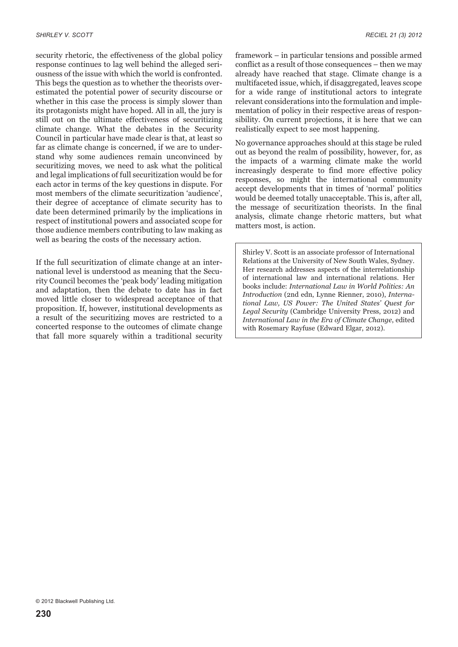security rhetoric, the effectiveness of the global policy response continues to lag well behind the alleged seriousness of the issue with which the world is confronted. This begs the question as to whether the theorists overestimated the potential power of security discourse or whether in this case the process is simply slower than its protagonists might have hoped. All in all, the jury is still out on the ultimate effectiveness of securitizing climate change. What the debates in the Security Council in particular have made clear is that, at least so far as climate change is concerned, if we are to understand why some audiences remain unconvinced by securitizing moves, we need to ask what the political and legal implications of full securitization would be for each actor in terms of the key questions in dispute. For most members of the climate securitization 'audience', their degree of acceptance of climate security has to date been determined primarily by the implications in respect of institutional powers and associated scope for those audience members contributing to law making as well as bearing the costs of the necessary action.

If the full securitization of climate change at an international level is understood as meaning that the Security Council becomes the 'peak body' leading mitigation and adaptation, then the debate to date has in fact moved little closer to widespread acceptance of that proposition. If, however, institutional developments as a result of the securitizing moves are restricted to a concerted response to the outcomes of climate change that fall more squarely within a traditional security framework – in particular tensions and possible armed conflict as a result of those consequences – then we may already have reached that stage. Climate change is a multifaceted issue, which, if disaggregated, leaves scope for a wide range of institutional actors to integrate relevant considerations into the formulation and implementation of policy in their respective areas of responsibility. On current projections, it is here that we can realistically expect to see most happening.

No governance approaches should at this stage be ruled out as beyond the realm of possibility, however, for, as the impacts of a warming climate make the world increasingly desperate to find more effective policy responses, so might the international community accept developments that in times of 'normal' politics would be deemed totally unacceptable. This is, after all, the message of securitization theorists. In the final analysis, climate change rhetoric matters, but what matters most, is action.

Shirley V. Scott is an associate professor of International Relations at the University of New South Wales, Sydney. Her research addresses aspects of the interrelationship of international law and international relations. Her books include: *International Law in World Politics: An Introduction* (2nd edn, Lynne Rienner, 2010), *International Law, US Power: The United States' Quest for Legal Security* (Cambridge University Press, 2012) and *International Law in the Era of Climate Change*, edited with Rosemary Rayfuse (Edward Elgar, 2012).